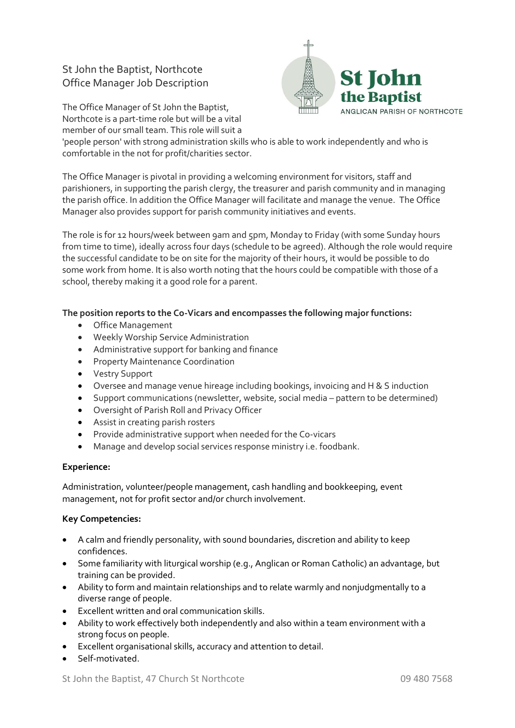## St John the Baptist, Northcote Office Manager Job Description

The Office Manager of St John the Baptist, Northcote is a part-time role but will be a vital member of our small team. This role will suit a



'people person' with strong administration skills who is able to work independently and who is comfortable in the not for profit/charities sector.

The Office Manager is pivotal in providing a welcoming environment for visitors, staff and parishioners, in supporting the parish clergy, the treasurer and parish community and in managing the parish office. In addition the Office Manager will facilitate and manage the venue. The Office Manager also provides support for parish community initiatives and events.

The role is for 12 hours/week between 9am and 5pm, Monday to Friday (with some Sunday hours from time to time), ideally across four days (schedule to be agreed). Although the role would require the successful candidate to be on site for the majority of their hours, it would be possible to do some work from home. It is also worth noting that the hours could be compatible with those of a school, thereby making it a good role for a parent.

## **The position reports to the Co-Vicars and encompasses the following major functions:**

- Office Management
- Weekly Worship Service Administration
- Administrative support for banking and finance
- **•** Property Maintenance Coordination
- Vestry Support
- Oversee and manage venue hireage including bookings, invoicing and H & S induction
- Support communications (newsletter, website, social media pattern to be determined)
- Oversight of Parish Roll and Privacy Officer
- Assist in creating parish rosters
- Provide administrative support when needed for the Co-vicars
- Manage and develop social services response ministry i.e. foodbank.

## **Experience:**

Administration, volunteer/people management, cash handling and bookkeeping, event management, not for profit sector and/or church involvement.

## **Key Competencies:**

- A calm and friendly personality, with sound boundaries, discretion and ability to keep confidences.
- Some familiarity with liturgical worship (e.g., Anglican or Roman Catholic) an advantage, but training can be provided.
- Ability to form and maintain relationships and to relate warmly and nonjudgmentally to a diverse range of people.
- Excellent written and oral communication skills.
- Ability to work effectively both independently and also within a team environment with a strong focus on people.
- Excellent organisational skills, accuracy and attention to detail.
- Self-motivated.